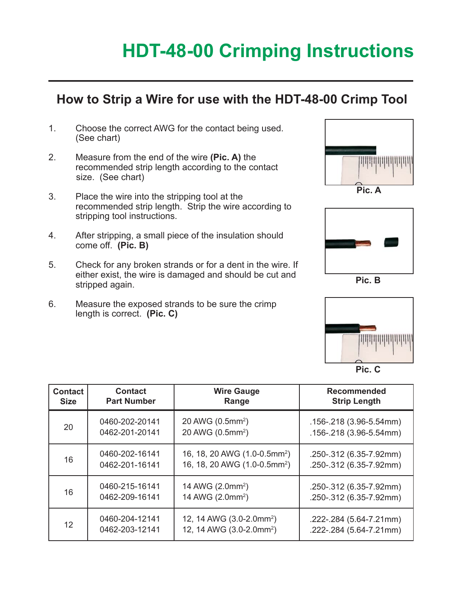# **HDT-48-00 Crimping Instructions**

#### **How to Strip a Wire for use with the HDT-48-00 Crimp Tool**

- 1. Choose the correct AWG for the contact being used. (See chart)
- 2. Measure from the end of the wire **(Pic. A)** the recommended strip length according to the contact size. (See chart)
- 3. Place the wire into the stripping tool at the recommended strip length. Strip the wire according to stripping tool instructions.
- 4. After stripping, a small piece of the insulation should come off. **(Pic. B)**
- 5. Check for any broken strands or for a dent in the wire. If either exist, the wire is damaged and should be cut and stripped again.
- 6. Measure the exposed strands to be sure the crimp length is correct. **(Pic. C)**





**Pic. B**



**Pic. C**

| <b>Contact</b> | <b>Contact</b>     | <b>Wire Gauge</b>                        | Recommended                 |
|----------------|--------------------|------------------------------------------|-----------------------------|
| <b>Size</b>    | <b>Part Number</b> | Range                                    | <b>Strip Length</b>         |
| 20             | 0460-202-20141     | 20 AWG (0.5mm <sup>2</sup> )             | $.156 - .218$ (3.96-5.54mm) |
|                | 0462-201-20141     | 20 AWG (0.5mm <sup>2</sup> )             | .156-.218 (3.96-5.54mm)     |
| 16             | 0460-202-16141     | 16, 18, 20 AWG (1.0-0.5mm <sup>2</sup> ) | .250-.312 (6.35-7.92mm)     |
|                | 0462-201-16141     | 16, 18, 20 AWG (1.0-0.5mm <sup>2</sup> ) | .250-.312 (6.35-7.92mm)     |
| 16             | 0460-215-16141     | 14 AWG (2.0mm <sup>2</sup> )             | .250-.312 (6.35-7.92mm)     |
|                | 0462-209-16141     | 14 AWG (2.0mm <sup>2</sup> )             | .250-.312 (6.35-7.92mm)     |
| 12             | 0460-204-12141     | 12, 14 AWG (3.0-2.0mm <sup>2</sup> )     | .222-.284 (5.64-7.21mm)     |
|                | 0462-203-12141     | 12, 14 AWG (3.0-2.0mm <sup>2</sup> )     | .222-.284 (5.64-7.21mm)     |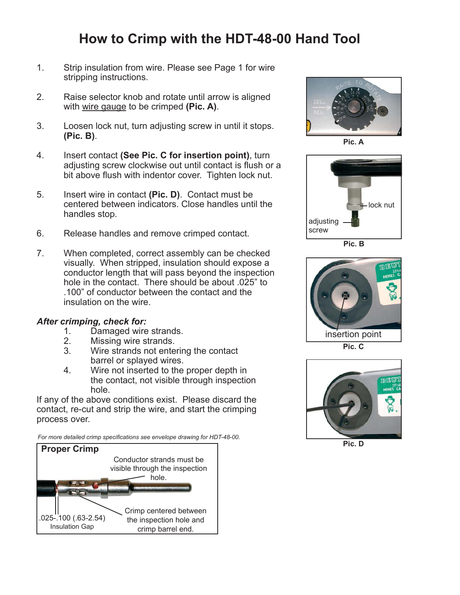## **How to Crimp with the HDT-48-00 Hand Tool**

- 1. Strip insulation from wire. Please see Page 1 for wire stripping instructions.
- 2. Raise selector knob and rotate until arrow is aligned with wire gauge to be crimped **(Pic. A)**.
- 3. Loosen lock nut, turn adjusting screw in until it stops. **(Pic. B)**.
- 4. Insert contact **(See Pic. C for insertion point)**, turn adjusting screw clockwise out until contact is flush or a bit above flush with indentor cover. Tighten lock nut.
- 5. Insert wire in contact **(Pic. D)**. Contact must be centered between indicators. Close handles until the handles stop.
- 6. Release handles and remove crimped contact.
- 7. When completed, correct assembly can be checked visually. When stripped, insulation should expose a conductor length that will pass beyond the inspection hole in the contact. There should be about .025" to .100" of conductor between the contact and the insulation on the wire.

# *After crimping, check for:*

- 1. Damaged wire strands.<br>2. Missing wire strands.
- Missing wire strands.
- 3. Wire strands not entering the contact barrel or splayed wires.
- 4. Wire not inserted to the proper depth in the contact, not visible through inspection hole.

If any of the above conditions exist. Please discard the contact, re-cut and strip the wire, and start the crimping process over.

*For more detailed crimp specifi cations see envelope drawing for HDT-48-00.*





**Pic. A**



**Pic. B**



**Pic. C**



**Pic. D**